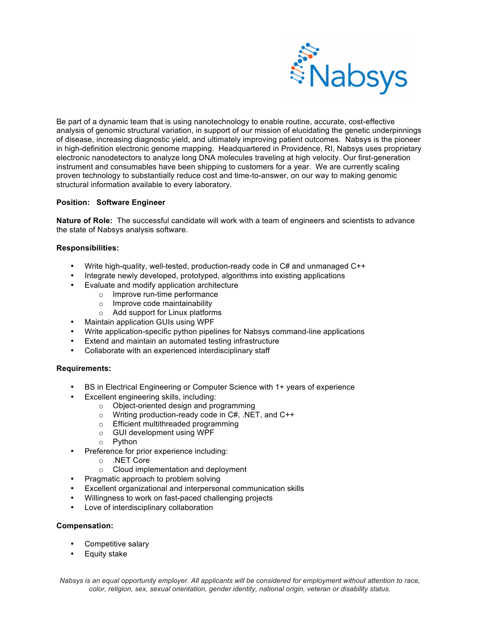

Be part of a dynamic team that is using nanotechnology to enable routine, accurate, cost-effective analysis of genomic structural variation, in support of our mission of elucidating the genetic underpinnings of disease, increasing diagnostic yield, and ultimately improving patient outcomes. Nabsys is the pioneer in high-definition electronic genome mapping. Headquartered in Providence, RI, Nabsys uses proprietary electronic nanodetectors to analyze long DNA molecules traveling at high velocity. Our first-generation instrument and consumables have been shipping to customers for a year. We are currently scaling proven technology to substantially reduce cost and time-to-answer, on our way to making genomic structural information available to every laboratory.

## **Position: Software Engineer**

**Nature of Role:** The successful candidate will work with a team of engineers and scientists to advance the state of Nabsys analysis software.

## **Responsibilities:**

- Write high-quality, well-tested, production-ready code in C# and unmanaged C++
- Integrate newly developed, prototyped, algorithms into existing applications
	- Evaluate and modify application architecture
		- o Improve run-time performance
		- o Improve code maintainability
		- o Add support for Linux platforms
- Maintain application GUIs using WPF
- Write application-specific python pipelines for Nabsys command-line applications
- Extend and maintain an automated testing infrastructure
- Collaborate with an experienced interdisciplinary staff

## **Requirements:**

- BS in Electrical Engineering or Computer Science with 1+ years of experience
- Excellent engineering skills, including:
	- o Object-oriented design and programming
	- o Writing production-ready code in C#, .NET, and C++
	- o Efficient multithreaded programming
	- o GUI development using WPF
	- o Python
- Preference for prior experience including:
	- o .NET Core
	- o Cloud implementation and deployment
- Pragmatic approach to problem solving
- Excellent organizational and interpersonal communication skills
- Willingness to work on fast-paced challenging projects
- Love of interdisciplinary collaboration

## **Compensation:**

- Competitive salary
- Equity stake